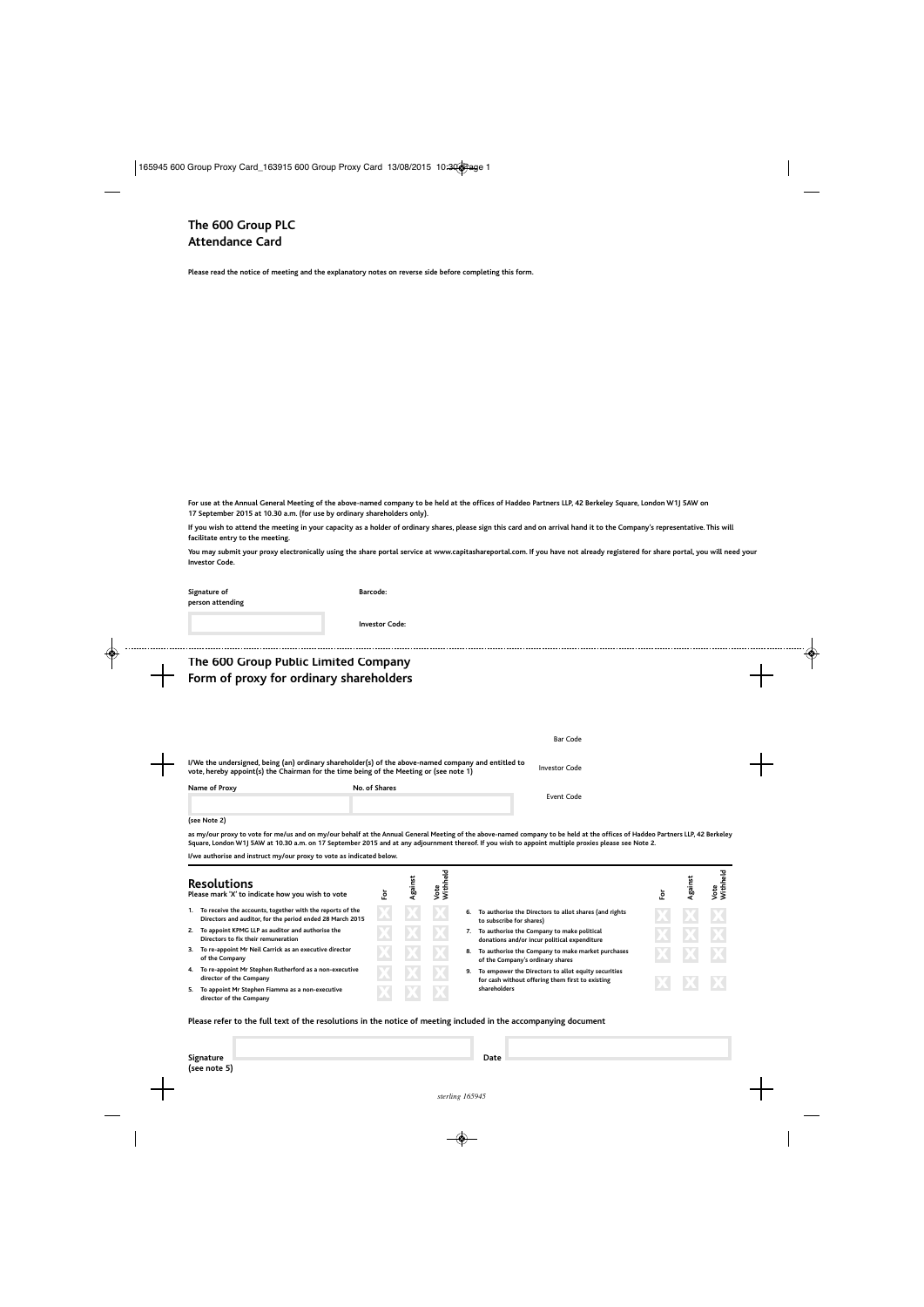**Please read the notice of meeting and the explanatory notes on reverse side before completing this form.**

**For use at the Annual General Meeting of the above-named company to be held at the offices of Haddeo Partners LLP, 42 Berkeley Square, London W1J 5AW on 17 September 2015 at 10.30 a.m. (for use by ordinary shareholders only).**

**If you wish to attend the meeting in your capacity as a holder of ordinary shares, please sign this card and on arrival hand it to the Company's representative. This will facilitate entry to the meeting.**

**You may submit your proxy electronically using the share portal service at www.capitashareportal.com. If you have not already registered for share portal, you will need your Investor Code.**

| Signature of<br>person attending                                                                                                                                                                                                                                                                                                      | Barcode:              |         |                  |                                                                                                                           |     |         |                         |
|---------------------------------------------------------------------------------------------------------------------------------------------------------------------------------------------------------------------------------------------------------------------------------------------------------------------------------------|-----------------------|---------|------------------|---------------------------------------------------------------------------------------------------------------------------|-----|---------|-------------------------|
|                                                                                                                                                                                                                                                                                                                                       | <b>Investor Code:</b> |         |                  |                                                                                                                           |     |         |                         |
| The 600 Group Public Limited Company                                                                                                                                                                                                                                                                                                  |                       |         |                  |                                                                                                                           |     |         |                         |
| Form of proxy for ordinary shareholders                                                                                                                                                                                                                                                                                               |                       |         |                  |                                                                                                                           |     |         |                         |
|                                                                                                                                                                                                                                                                                                                                       |                       |         |                  |                                                                                                                           |     |         |                         |
|                                                                                                                                                                                                                                                                                                                                       |                       |         |                  |                                                                                                                           |     |         |                         |
|                                                                                                                                                                                                                                                                                                                                       |                       |         |                  | <b>Bar Code</b>                                                                                                           |     |         |                         |
| I/We the undersigned, being (an) ordinary shareholder(s) of the above-named company and entitled to<br>vote, hereby appoint(s) the Chairman for the time being of the Meeting or (see note 1)                                                                                                                                         |                       |         |                  | <b>Investor Code</b>                                                                                                      |     |         |                         |
| Name of Proxy                                                                                                                                                                                                                                                                                                                         | No. of Shares         |         |                  | <b>Event Code</b>                                                                                                         |     |         |                         |
|                                                                                                                                                                                                                                                                                                                                       |                       |         |                  |                                                                                                                           |     |         |                         |
| (see Note 2)                                                                                                                                                                                                                                                                                                                          |                       |         |                  |                                                                                                                           |     |         |                         |
| as my/our proxy to vote for me/us and on my/our behalf at the Annual General Meeting of the above-named company to be held at the offices of Haddeo Partners LLP, 42 Berkeley<br>Square, London W1J 5AW at 10.30 a.m. on 17 September 2015 and at any adjournment thereof. If you wish to appoint multiple proxies please see Note 2. |                       |         |                  |                                                                                                                           |     |         |                         |
| I/we authorise and instruct my/our proxy to vote as indicated below.                                                                                                                                                                                                                                                                  |                       |         |                  |                                                                                                                           |     |         |                         |
| <b>Resolutions</b>                                                                                                                                                                                                                                                                                                                    | ١ŏ                    | Against | Vote<br>Withheld |                                                                                                                           | For | Against | <b>Nithheld</b><br>Vote |
| Please mark 'X' to indicate how you wish to vote                                                                                                                                                                                                                                                                                      |                       |         |                  |                                                                                                                           |     |         |                         |
| 1. To receive the accounts, together with the reports of the<br>Directors and auditor, for the period ended 28 March 2015                                                                                                                                                                                                             |                       |         |                  | 6. To authorise the Directors to allot shares (and rights                                                                 |     |         |                         |
| Directors to fix their remuneration                                                                                                                                                                                                                                                                                                   |                       |         |                  | to subscribe for shares)<br>7. To authorise the Company to make political<br>donations and/or incur political expenditure |     |         |                         |
| 2. To appoint KPMG LLP as auditor and authorise the<br>3. To re-appoint Mr Neil Carrick as an executive director<br>of the Company                                                                                                                                                                                                    |                       |         |                  | 8. To authorise the Company to make market purchases<br>of the Company's ordinary shares                                  |     |         |                         |

**Please refer to the full text of the resolutions in the notice of meeting included in the accompanying document**

X X X

**Signature** Date **(see note 5)**

**5. To appoint Mr Stephen Fiamma as a non-executive**

**director of the Company**

**shareholders**

 $X$  X  $X$